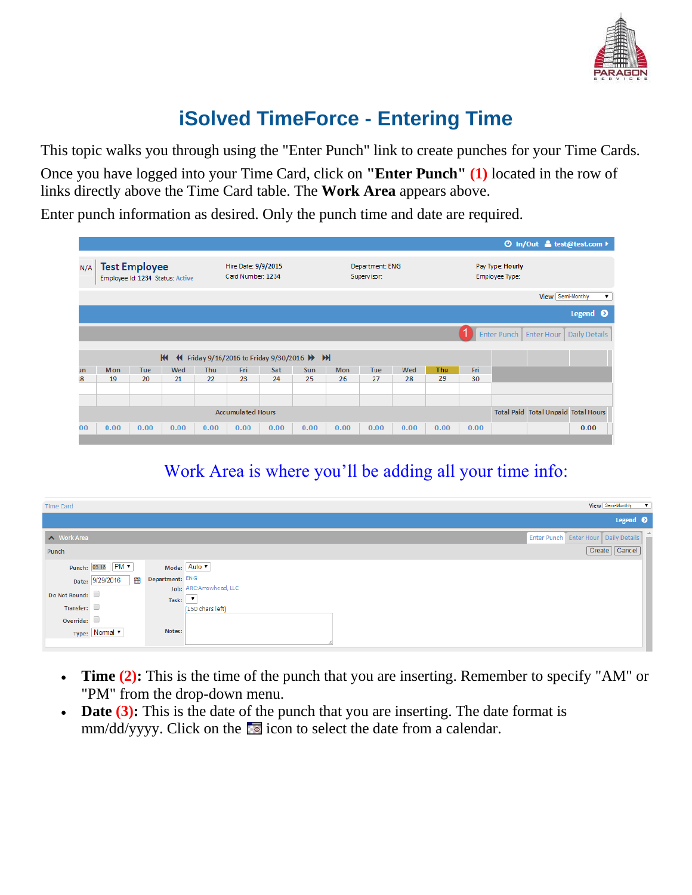

## **iSolved TimeForce - Entering Time**

This topic walks you through using the "Enter Punch" link to create punches for your Time Cards. Once you have logged into your Time Card, click on **"Enter Punch" (1)** located in the row of links directly above the Time Card table. The **Work Area** appears above.

Enter punch information as desired. Only the punch time and date are required.

|                                                             | <b><i>⊙</i></b> in/Out & test@test.com ▶ |                      |                                  |            |                                          |      |      |                                 |                                |      |      |      |                                    |                                            |                    |  |  |
|-------------------------------------------------------------|------------------------------------------|----------------------|----------------------------------|------------|------------------------------------------|------|------|---------------------------------|--------------------------------|------|------|------|------------------------------------|--------------------------------------------|--------------------|--|--|
| N/A                                                         |                                          | <b>Test Employee</b> | Employee Id: 1234 Status: Active |            | Hire Date: 9/9/2015<br>Card Number: 1234 |      |      |                                 | Department: ENG<br>Supervisor: |      |      |      | Pay Type: Hourly<br>Employee Type: |                                            |                    |  |  |
|                                                             |                                          |                      |                                  |            |                                          |      |      |                                 |                                |      |      |      |                                    | View Semi-Monthly                          | $\pmb{\mathrm{v}}$ |  |  |
|                                                             | Legend <sup>O</sup>                      |                      |                                  |            |                                          |      |      |                                 |                                |      |      |      |                                    |                                            |                    |  |  |
|                                                             | Enter Punch   Enter Hour                 |                      |                                  |            |                                          |      |      |                                 |                                |      |      |      |                                    |                                            | Daily Details      |  |  |
| H<br><sup>(4</sup> Friday 9/16/2016 to Friday 9/30/2016 → → |                                          |                      |                                  |            |                                          |      |      |                                 |                                |      |      |      |                                    |                                            |                    |  |  |
| un                                                          | Mon                                      | Tue                  | Wed                              | <b>Thu</b> | Fri<br>Sat<br><b>Sun</b>                 |      |      | Wed<br><b>Mon</b><br><b>Tue</b> |                                |      | Thu  | Fri  |                                    |                                            |                    |  |  |
| I8                                                          | 19                                       | 20                   | 21                               | 22         | 23                                       | 24   | 25   | 26                              | 27                             | 28   | 29   | 30   |                                    |                                            |                    |  |  |
|                                                             |                                          |                      |                                  |            |                                          |      |      |                                 |                                |      |      |      |                                    |                                            |                    |  |  |
|                                                             |                                          |                      |                                  |            |                                          |      |      |                                 |                                |      |      |      |                                    |                                            |                    |  |  |
|                                                             | <b>Accumulated Hours</b>                 |                      |                                  |            |                                          |      |      |                                 |                                |      |      |      |                                    | <b>Total Paid Total Unpaid Total Hours</b> |                    |  |  |
| 00                                                          | 0.00                                     | 0.00                 | 0.00                             | 0.00       | 0.00                                     | 0.00 | 0.00 | 0.00                            | 0.00                           | 0.00 | 0.00 | 0.00 |                                    |                                            | 0.00               |  |  |
|                                                             |                                          |                      |                                  |            |                                          |      |      |                                 |                                |      |      |      |                                    |                                            |                    |  |  |

## Work Area is where you'll be adding all your time info:

| <b>Time Card</b> |                      |                    | View Semi-Monthly<br>$\mathbf{v}$        |
|------------------|----------------------|--------------------|------------------------------------------|
|                  |                      |                    | Legend <sup>O</sup>                      |
| Nork Area        |                      |                    | Enter Punch   Enter Hour   Daily Details |
| Punch            |                      |                    | Create   Cancel                          |
|                  | Punch: 03:18 PM v    |                    | Mode: Auto v                             |
|                  | 篇<br>Date: 9/29/2016 | Department: ENG    | Job: ARC:Arrowhead, LLC                  |
| Do Not Round:    |                      | Task: $\mathbf{v}$ |                                          |
| Transfer:        |                      |                    | (150 chars left)                         |
| Override:        |                      |                    |                                          |
|                  | Type: Normal v       | Notes:             |                                          |
|                  |                      |                    |                                          |

- **Time (2):** This is the time of the punch that you are inserting. Remember to specify "AM" or "PM" from the drop-down menu.
- **Date (3):** This is the date of the punch that you are inserting. The date format is mm/dd/yyyy. Click on the issue icon to select the date from a calendar.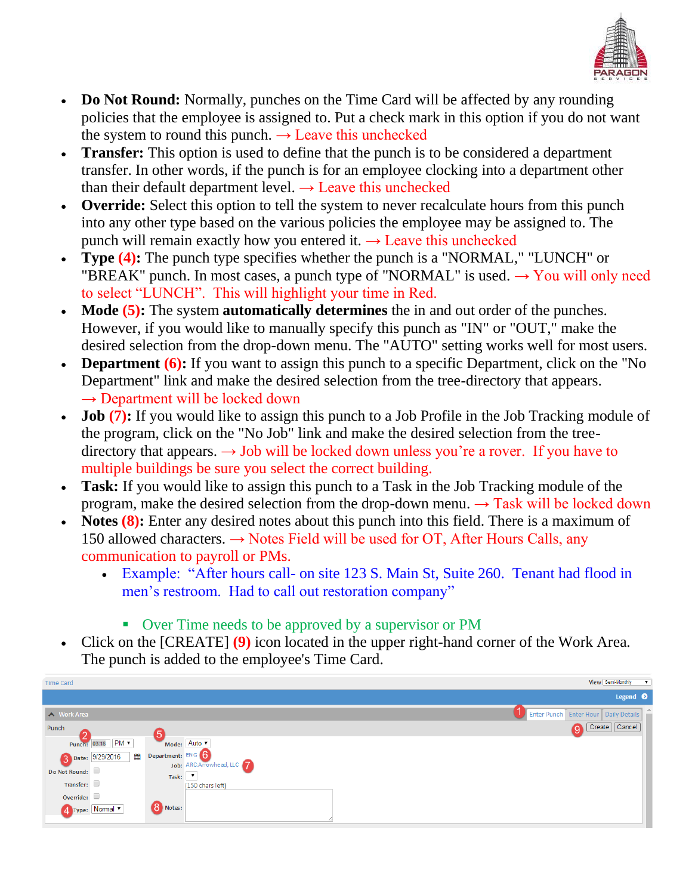

- **Do Not Round:** Normally, punches on the Time Card will be affected by any rounding policies that the employee is assigned to. Put a check mark in this option if you do not want the system to round this punch.  $\rightarrow$  Leave this unchecked
- **Transfer:** This option is used to define that the punch is to be considered a department transfer. In other words, if the punch is for an employee clocking into a department other than their default department level.  $\rightarrow$  Leave this unchecked
- **Override:** Select this option to tell the system to never recalculate hours from this punch into any other type based on the various policies the employee may be assigned to. The punch will remain exactly how you entered it.  $\rightarrow$  Leave this unchecked
- **Type (4):** The punch type specifies whether the punch is a "NORMAL," "LUNCH" or "BREAK" punch. In most cases, a punch type of "NORMAL" is used.  $\rightarrow$  You will only need to select "LUNCH". This will highlight your time in Red.
- **Mode (5):** The system **automatically determines** the in and out order of the punches. However, if you would like to manually specify this punch as "IN" or "OUT," make the desired selection from the drop-down menu. The "AUTO" setting works well for most users.
- **Department (6):** If you want to assign this punch to a specific Department, click on the "No Department" link and make the desired selection from the tree-directory that appears.  $\rightarrow$  Department will be locked down
- **Job** (7): If you would like to assign this punch to a Job Profile in the Job Tracking module of the program, click on the "No Job" link and make the desired selection from the treedirectory that appears.  $\rightarrow$  Job will be locked down unless you're a rover. If you have to multiple buildings be sure you select the correct building.
- **Task:** If you would like to assign this punch to a Task in the Job Tracking module of the program, make the desired selection from the drop-down menu.  $\rightarrow$  Task will be locked down
- **Notes (8):** Enter any desired notes about this punch into this field. There is a maximum of 150 allowed characters.  $\rightarrow$  Notes Field will be used for OT, After Hours Calls, any communication to payroll or PMs.
	- Example: "After hours call- on site 123 S. Main St, Suite 260. Tenant had flood in men's restroom. Had to call out restoration company"
		- Over Time needs to be approved by a supervisor or PM
- Click on the [CREATE] **(9)** icon located in the upper right-hand corner of the Work Area. The punch is added to the employee's Time Card.

| <b>Time Card</b> |                      |                   | View Semi-Monthly<br>$\mathbf{v}$        |
|------------------|----------------------|-------------------|------------------------------------------|
|                  |                      |                   | Legend <sup>O</sup>                      |
| Nork Area        |                      |                   | Enter Punch   Enter Hour   Daily Details |
| Punch            |                      | .5                | Create   Cancel                          |
|                  | Punch: 03:18 PM ▼    |                   | Mode: Auto                               |
|                  | Date: 9/29/2016<br>■ | Department: ENG 6 | Job: ARC:Arrowhead, LLC                  |
| Do Not Round:    |                      | Task:             | $\mathbf v$                              |
| Transfer:        |                      |                   | (150 chars left)                         |
| Override: $\Box$ |                      |                   |                                          |
|                  | 4 Type: Normal       | 8 Notes:          |                                          |